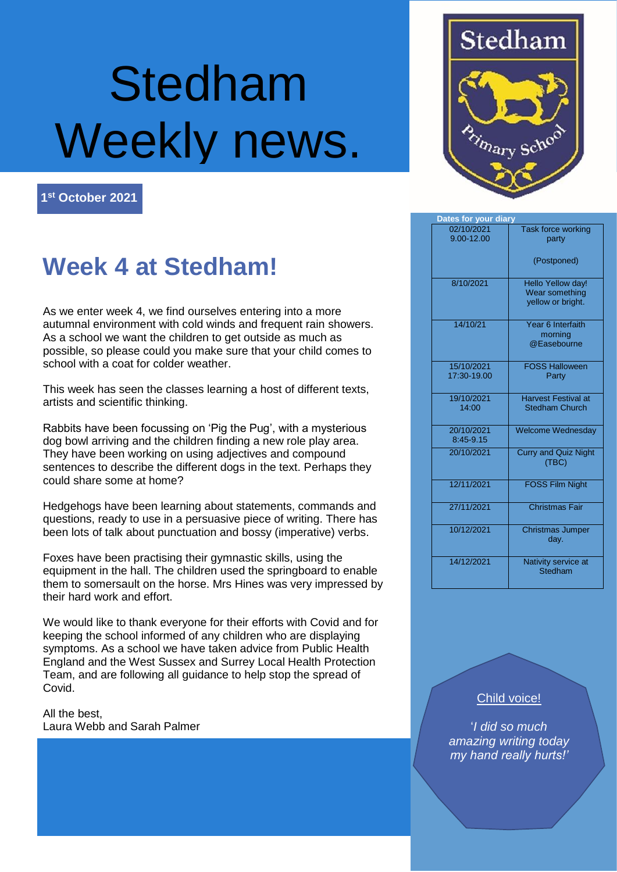# Stedham Weekly news.

**1 st October 2021**

# **Week 4 at Stedham!**

As we enter week 4, we find ourselves entering into a more autumnal environment with cold winds and frequent rain showers. As a school we want the children to get outside as much as possible, so please could you make sure that your child comes to school with a coat for colder weather.

This week has seen the classes learning a host of different texts, artists and scientific thinking.

Rabbits have been focussing on 'Pig the Pug', with a mysterious dog bowl arriving and the children finding a new role play area. They have been working on using adjectives and compound sentences to describe the different dogs in the text. Perhaps they could share some at home?

Hedgehogs have been learning about statements, commands and questions, ready to use in a persuasive piece of writing. There has been lots of talk about punctuation and bossy (imperative) verbs.

Foxes have been practising their gymnastic skills, using the equipment in the hall. The children used the springboard to enable them to somersault on the horse. Mrs Hines was very impressed by their hard work and effort.

We would like to thank everyone for their efforts with Covid and for keeping the school informed of any children who are displaying symptoms. As a school we have taken advice from Public Health England and the West Sussex and Surrey Local Health Protection Team, and are following all guidance to help stop the spread of Covid.

All the best, Laura Webb and Sarah Palmer



| Dates for your diary      |                                                                 |
|---------------------------|-----------------------------------------------------------------|
| 02/10/2021<br>9.00-12.00  | <b>Task force working</b><br>party                              |
|                           | (Postponed)                                                     |
| 8/10/2021                 | <b>Hello Yellow day!</b><br>Wear something<br>yellow or bright. |
| 14/10/21                  | Year 6 Interfaith<br>morning<br>@Easebourne                     |
| 15/10/2021<br>17:30-19.00 | <b>FOSS Halloween</b><br>Party                                  |
| 19/10/2021<br>14:00       | <b>Harvest Festival at</b><br><b>Stedham Church</b>             |
| 20/10/2021<br>8:45-9.15   | <b>Welcome Wednesday</b>                                        |
| 20/10/2021                | <b>Curry and Quiz Night</b><br>(TBC)                            |
| 12/11/2021                | <b>FOSS Film Night</b>                                          |
| 27/11/2021                | <b>Christmas Fair</b>                                           |
| 10/12/2021                | <b>Christmas Jumper</b><br>day.                                 |
| 14/12/2021                | Nativity service at<br>Stedham                                  |

#### Child voice!

'*I did so much amazing writing today my hand really hurts!'*